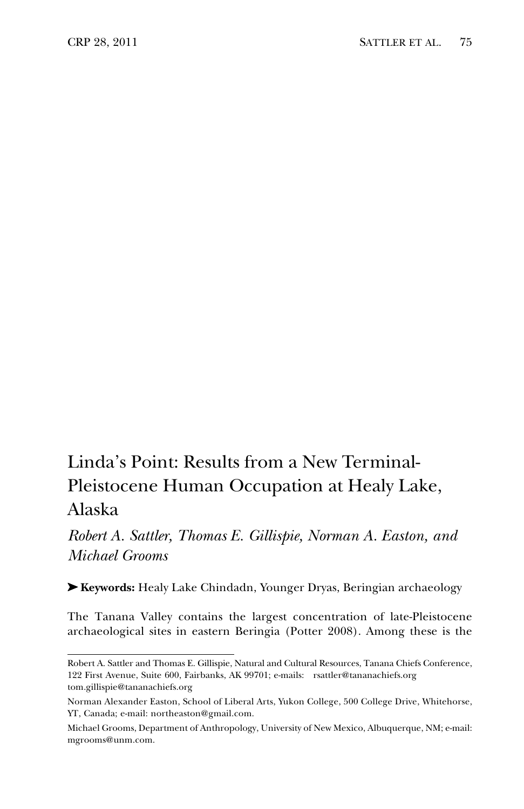## Linda's Point: Results from a New Terminal-Pleistocene Human Occupation at Healy Lake, Alaska

*Robert A. Sattler, Thomas E. Gillispie, Norman A. Easton, and Michael Grooms*

➤ **Keywords:** Healy Lake Chindadn, Younger Dryas, Beringian archaeology

The Tanana Valley contains the largest concentration of late-Pleistocene archaeological sites in eastern Beringia (Potter 2008). Among these is the

Robert A. Sattler and Thomas E. Gillispie, Natural and Cultural Resources, Tanana Chiefs Conference, 122 First Avenue, Suite 600, Fairbanks, AK 99701; e-mails: rsattler@tananachiefs.org tom.gillispie@tananachiefs.org

Norman Alexander Easton, School of Liberal Arts, Yukon College, 500 College Drive, Whitehorse, YT, Canada; e-mail: northeaston@gmail.com.

Michael Grooms, Department of Anthropology, University of New Mexico, Albuquerque, NM; e-mail: mgrooms@unm.com.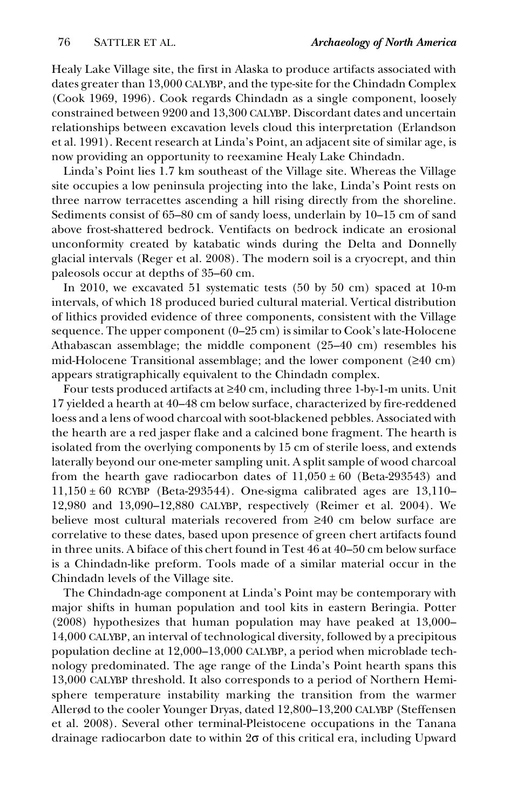Healy Lake Village site, the first in Alaska to produce artifacts associated with dates greater than 13,000 CALYBP, and the type-site for the Chindadn Complex (Cook 1969, 1996). Cook regards Chindadn as a single component, loosely constrained between 9200 and 13,300 CALYBP. Discordant dates and uncertain relationships between excavation levels cloud this interpretation (Erlandson et al. 1991). Recent research at Linda's Point, an adjacent site of similar age, is now providing an opportunity to reexamine Healy Lake Chindadn.

Linda's Point lies 1.7 km southeast of the Village site. Whereas the Village site occupies a low peninsula projecting into the lake, Linda's Point rests on three narrow terracettes ascending a hill rising directly from the shoreline. Sediments consist of 65–80 cm of sandy loess, underlain by 10–15 cm of sand above frost-shattered bedrock. Ventifacts on bedrock indicate an erosional unconformity created by katabatic winds during the Delta and Donnelly glacial intervals (Reger et al. 2008). The modern soil is a cryocrept, and thin paleosols occur at depths of 35–60 cm.

In 2010, we excavated 51 systematic tests (50 by 50 cm) spaced at 10-m intervals, of which 18 produced buried cultural material. Vertical distribution of lithics provided evidence of three components, consistent with the Village sequence. The upper component (0–25 cm) is similar to Cook's late-Holocene Athabascan assemblage; the middle component (25–40 cm) resembles his mid-Holocene Transitional assemblage; and the lower component (≥40 cm) appears stratigraphically equivalent to the Chindadn complex.

Four tests produced artifacts at ≥40 cm, including three 1-by-1-m units. Unit 17 yielded a hearth at 40–48 cm below surface, characterized by fire-reddened loess and a lens of wood charcoal with soot-blackened pebbles. Associated with the hearth are a red jasper flake and a calcined bone fragment. The hearth is isolated from the overlying components by 15 cm of sterile loess, and extends laterally beyond our one-meter sampling unit. A split sample of wood charcoal from the hearth gave radiocarbon dates of  $11,050 \pm 60$  (Beta-293543) and  $11,150 \pm 60$  RCYBP (Beta-293544). One-sigma calibrated ages are  $13,110-$ 12,980 and 13,090–12,880 CALYBP, respectively (Reimer et al. 2004). We believe most cultural materials recovered from ≥40 cm below surface are correlative to these dates, based upon presence of green chert artifacts found in three units. A biface of this chert found in Test 46 at 40–50 cm below surface is a Chindadn-like preform. Tools made of a similar material occur in the Chindadn levels of the Village site.

The Chindadn-age component at Linda's Point may be contemporary with major shifts in human population and tool kits in eastern Beringia. Potter (2008) hypothesizes that human population may have peaked at 13,000– 14,000 CALYBP, an interval of technological diversity, followed by a precipitous population decline at 12,000–13,000 CALYBP, a period when microblade technology predominated. The age range of the Linda's Point hearth spans this 13,000 CALYBP threshold. It also corresponds to a period of Northern Hemisphere temperature instability marking the transition from the warmer Allerød to the cooler Younger Dryas, dated 12,800–13,200 CALYBP (Steffensen et al. 2008). Several other terminal-Pleistocene occupations in the Tanana drainage radiocarbon date to within 2σ of this critical era, including Upward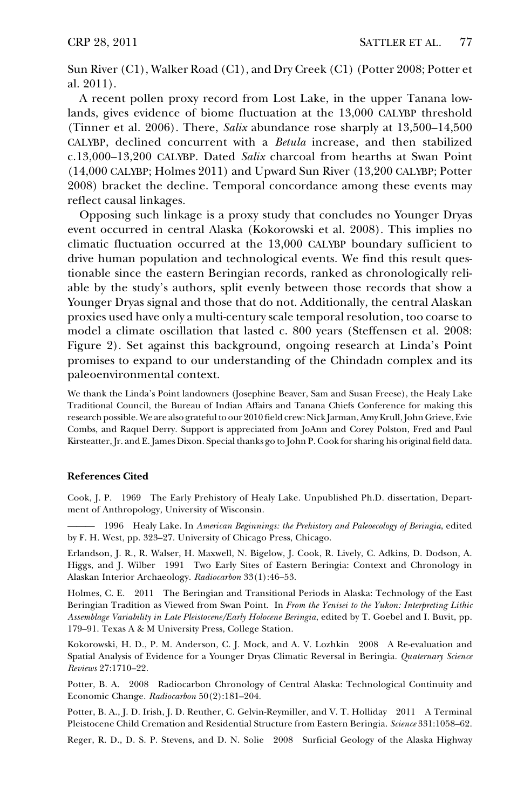Sun River (C1), Walker Road (C1), and Dry Creek (C1) (Potter 2008; Potter et al. 2011).

A recent pollen proxy record from Lost Lake, in the upper Tanana lowlands, gives evidence of biome fluctuation at the 13,000 CALYBP threshold (Tinner et al. 2006). There, *Salix* abundance rose sharply at 13,500–14,500 CALYBP, declined concurrent with a *Betula* increase, and then stabilized c.13,000–13,200 CALYBP. Dated *Salix* charcoal from hearths at Swan Point (14,000 CALYBP; Holmes 2011) and Upward Sun River (13,200 CALYBP; Potter 2008) bracket the decline. Temporal concordance among these events may reflect causal linkages.

Opposing such linkage is a proxy study that concludes no Younger Dryas event occurred in central Alaska (Kokorowski et al. 2008). This implies no climatic fluctuation occurred at the 13,000 CALYBP boundary sufficient to drive human population and technological events. We find this result questionable since the eastern Beringian records, ranked as chronologically reliable by the study's authors, split evenly between those records that show a Younger Dryas signal and those that do not. Additionally, the central Alaskan proxies used have only a multi-century scale temporal resolution, too coarse to model a climate oscillation that lasted c. 800 years (Steffensen et al. 2008: Figure 2). Set against this background, ongoing research at Linda's Point promises to expand to our understanding of the Chindadn complex and its paleoenvironmental context.

We thank the Linda's Point landowners (Josephine Beaver, Sam and Susan Freese), the Healy Lake Traditional Council, the Bureau of Indian Affairs and Tanana Chiefs Conference for making this research possible. We are also grateful to our 2010 field crew: Nick Jarman, Amy Krull, John Grieve, Evie Combs, and Raquel Derry. Support is appreciated from JoAnn and Corey Polston, Fred and Paul Kirsteatter, Jr. and E. James Dixon. Special thanks go to John P. Cook for sharing his original field data.

## **References Cited**

Cook, J. P. 1969 The Early Prehistory of Healy Lake. Unpublished Ph.D. dissertation, Department of Anthropology, University of Wisconsin.

——— 1996 Healy Lake. In *American Beginnings: the Prehistory and Paleoecology of Beringia*, edited by F. H. West, pp. 323–27. University of Chicago Press, Chicago.

Erlandson, J. R., R. Walser, H. Maxwell, N. Bigelow, J. Cook, R. Lively, C. Adkins, D. Dodson, A. Higgs, and J. Wilber 1991 Two Early Sites of Eastern Beringia: Context and Chronology in Alaskan Interior Archaeology. *Radiocarbon* 33(1):46–53.

Holmes, C. E. 2011 The Beringian and Transitional Periods in Alaska: Technology of the East Beringian Tradition as Viewed from Swan Point. In *From the Yenisei to the Yukon: Interpreting Lithic Assemblage Variability in Late Pleistocene/Early Holocene Beringia*, edited by T. Goebel and I. Buvit, pp. 179–91. Texas A & M University Press, College Station.

Kokorowski, H. D., P. M. Anderson, C. J. Mock, and A. V. Lozhkin 2008 A Re-evaluation and Spatial Analysis of Evidence for a Younger Dryas Climatic Reversal in Beringia. *Quaternary Science Reviews* 27:1710–22.

Potter, B. A. 2008 Radiocarbon Chronology of Central Alaska: Technological Continuity and Economic Change. *Radiocarbon* 50(2):181–204.

Potter, B. A., J. D. Irish, J. D. Reuther, C. Gelvin-Reymiller, and V. T. Holliday 2011 A Terminal Pleistocene Child Cremation and Residential Structure from Eastern Beringia. *Science* 331:1058–62.

Reger, R. D., D. S. P. Stevens, and D. N. Solie 2008 Surficial Geology of the Alaska Highway